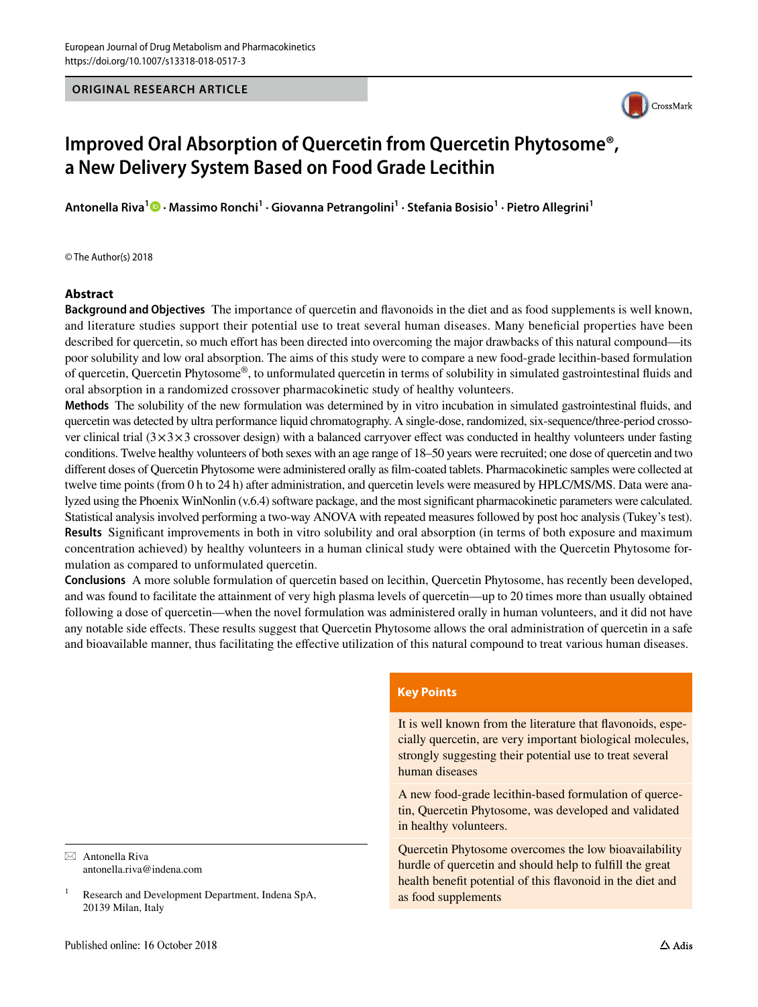

# **Improved Oral Absorption of Quercetin from Quercetin Phytosome®, a New Delivery System Based on Food Grade Lecithin**

**Antonella Riva<sup>1</sup> · Massimo Ronchi1 · Giovanna Petrangolini1 · Stefania Bosisio1 · Pietro Allegrini1**

© The Author(s) 2018

#### **Abstract**

**Background and Objectives** The importance of quercetin and favonoids in the diet and as food supplements is well known, and literature studies support their potential use to treat several human diseases. Many benefcial properties have been described for quercetin, so much effort has been directed into overcoming the major drawbacks of this natural compound—its poor solubility and low oral absorption. The aims of this study were to compare a new food-grade lecithin-based formulation of quercetin, Quercetin Phytosome®, to unformulated quercetin in terms of solubility in simulated gastrointestinal fuids and oral absorption in a randomized crossover pharmacokinetic study of healthy volunteers.

**Methods** The solubility of the new formulation was determined by in vitro incubation in simulated gastrointestinal fuids, and quercetin was detected by ultra performance liquid chromatography. A single-dose, randomized, six-sequence/three-period crossover clinical trial  $(3\times3\times3$  crossover design) with a balanced carryover effect was conducted in healthy volunteers under fasting conditions. Twelve healthy volunteers of both sexes with an age range of 18–50 years were recruited; one dose of quercetin and two diferent doses of Quercetin Phytosome were administered orally as flm-coated tablets. Pharmacokinetic samples were collected at twelve time points (from 0 h to 24 h) after administration, and quercetin levels were measured by HPLC/MS/MS. Data were analyzed using the Phoenix WinNonlin (v.6.4) software package, and the most signifcant pharmacokinetic parameters were calculated. Statistical analysis involved performing a two-way ANOVA with repeated measures followed by post hoc analysis (Tukey's test). **Results** Signifcant improvements in both in vitro solubility and oral absorption (in terms of both exposure and maximum concentration achieved) by healthy volunteers in a human clinical study were obtained with the Quercetin Phytosome formulation as compared to unformulated quercetin.

**Conclusions** A more soluble formulation of quercetin based on lecithin, Quercetin Phytosome, has recently been developed, and was found to facilitate the attainment of very high plasma levels of quercetin—up to 20 times more than usually obtained following a dose of quercetin—when the novel formulation was administered orally in human volunteers, and it did not have any notable side efects. These results suggest that Quercetin Phytosome allows the oral administration of quercetin in a safe and bioavailable manner, thus facilitating the efective utilization of this natural compound to treat various human diseases.

 $\boxtimes$  Antonella Riva antonella.riva@indena.com

#### **Key Points**

It is well known from the literature that favonoids, especially quercetin, are very important biological molecules, strongly suggesting their potential use to treat several human diseases

A new food-grade lecithin-based formulation of quercetin, Quercetin Phytosome, was developed and validated in healthy volunteers.

Quercetin Phytosome overcomes the low bioavailability hurdle of quercetin and should help to fulfll the great health benefit potential of this flavonoid in the diet and as food supplements

<sup>&</sup>lt;sup>1</sup> Research and Development Department, Indena SpA, 20139 Milan, Italy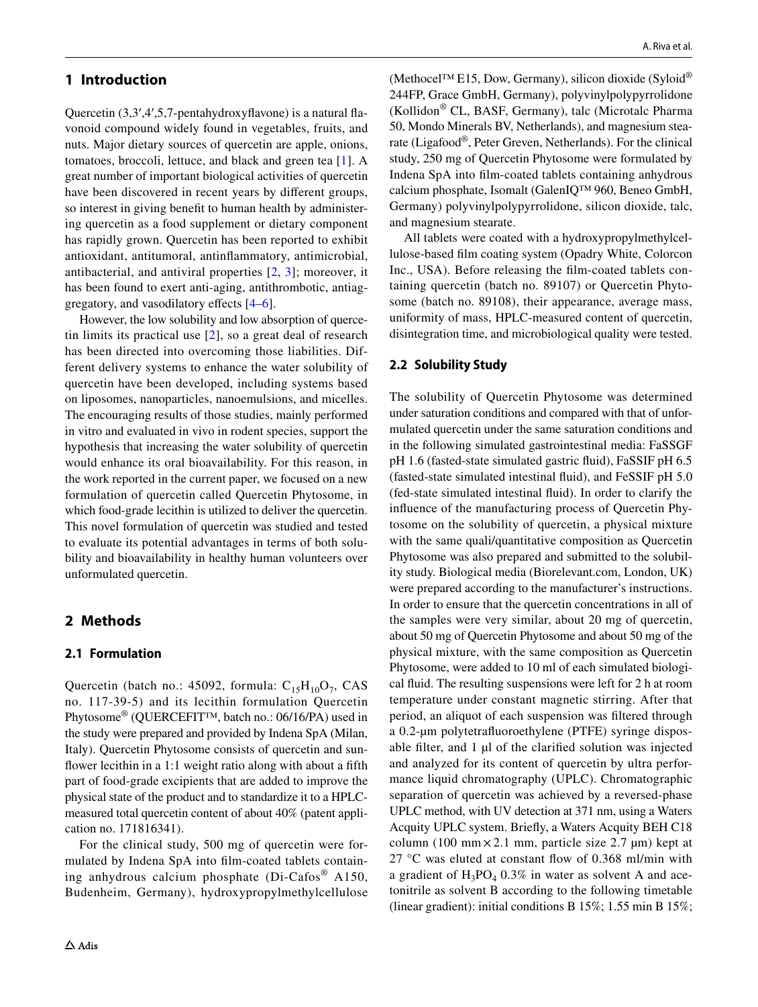# **1 Introduction**

Quercetin (3,3′,4′,5,7-pentahydroxyfavone) is a natural favonoid compound widely found in vegetables, fruits, and nuts. Major dietary sources of quercetin are apple, onions, tomatoes, broccoli, lettuce, and black and green tea [[1](#page-7-0)]. A great number of important biological activities of quercetin have been discovered in recent years by diferent groups, so interest in giving beneft to human health by administering quercetin as a food supplement or dietary component has rapidly grown. Quercetin has been reported to exhibit antioxidant, antitumoral, antinfammatory, antimicrobial, antibacterial, and antiviral properties [[2](#page-7-1), [3](#page-7-2)]; moreover, it has been found to exert anti-aging, antithrombotic, antiaggregatory, and vasodilatory effects  $[4–6]$  $[4–6]$  $[4–6]$  $[4–6]$ .

However, the low solubility and low absorption of quercetin limits its practical use [\[2\]](#page-7-1), so a great deal of research has been directed into overcoming those liabilities. Different delivery systems to enhance the water solubility of quercetin have been developed, including systems based on liposomes, nanoparticles, nanoemulsions, and micelles. The encouraging results of those studies, mainly performed in vitro and evaluated in vivo in rodent species, support the hypothesis that increasing the water solubility of quercetin would enhance its oral bioavailability. For this reason, in the work reported in the current paper, we focused on a new formulation of quercetin called Quercetin Phytosome, in which food-grade lecithin is utilized to deliver the quercetin. This novel formulation of quercetin was studied and tested to evaluate its potential advantages in terms of both solubility and bioavailability in healthy human volunteers over unformulated quercetin.

## <span id="page-1-0"></span>**2 Methods**

#### **2.1 Formulation**

Quercetin (batch no.: 45092, formula:  $C_{15}H_{10}O_7$ , CAS no. 117-39-5) and its lecithin formulation Quercetin Phytosome® (QUERCEFIT™, batch no.: 06/16/PA) used in the study were prepared and provided by Indena SpA (Milan, Italy). Quercetin Phytosome consists of quercetin and sunflower lecithin in a 1:1 weight ratio along with about a fifth part of food-grade excipients that are added to improve the physical state of the product and to standardize it to a HPLCmeasured total quercetin content of about 40% (patent application no. 171816341).

For the clinical study, 500 mg of quercetin were formulated by Indena SpA into flm-coated tablets containing anhydrous calcium phosphate (Di-Cafos® A150, Budenheim, Germany), hydroxypropylmethylcellulose (Methocel™ E15, Dow, Germany), silicon dioxide (Syloid® 244FP, Grace GmbH, Germany), polyvinylpolypyrrolidone (Kollidon® CL, BASF, Germany), talc (Microtalc Pharma 50, Mondo Minerals BV, Netherlands), and magnesium stearate (Ligafood®, Peter Greven, Netherlands). For the clinical study, 250 mg of Quercetin Phytosome were formulated by Indena SpA into flm-coated tablets containing anhydrous calcium phosphate, Isomalt (GalenIQ™ 960, Beneo GmbH, Germany) polyvinylpolypyrrolidone, silicon dioxide, talc, and magnesium stearate.

All tablets were coated with a hydroxypropylmethylcellulose-based flm coating system (Opadry White, Colorcon Inc., USA). Before releasing the flm-coated tablets containing quercetin (batch no. 89107) or Quercetin Phytosome (batch no. 89108), their appearance, average mass, uniformity of mass, HPLC-measured content of quercetin, disintegration time, and microbiological quality were tested.

#### **2.2 Solubility Study**

The solubility of Quercetin Phytosome was determined under saturation conditions and compared with that of unformulated quercetin under the same saturation conditions and in the following simulated gastrointestinal media: FaSSGF pH 1.6 (fasted-state simulated gastric fuid), FaSSIF pH 6.5 (fasted-state simulated intestinal fuid), and FeSSIF pH 5.0 (fed-state simulated intestinal fuid). In order to clarify the infuence of the manufacturing process of Quercetin Phytosome on the solubility of quercetin, a physical mixture with the same quali/quantitative composition as Quercetin Phytosome was also prepared and submitted to the solubility study. Biological media (Biorelevant.com, London, UK) were prepared according to the manufacturer's instructions. In order to ensure that the quercetin concentrations in all of the samples were very similar, about 20 mg of quercetin, about 50 mg of Quercetin Phytosome and about 50 mg of the physical mixture, with the same composition as Quercetin Phytosome, were added to 10 ml of each simulated biological fuid. The resulting suspensions were left for 2 h at room temperature under constant magnetic stirring. After that period, an aliquot of each suspension was fltered through a 0.2-µm polytetrafuoroethylene (PTFE) syringe disposable flter, and 1 µl of the clarifed solution was injected and analyzed for its content of quercetin by ultra performance liquid chromatography (UPLC). Chromatographic separation of quercetin was achieved by a reversed-phase UPLC method, with UV detection at 371 nm, using a Waters Acquity UPLC system. Briefy, a Waters Acquity BEH C18 column (100 mm  $\times$  2.1 mm, particle size 2.7 µm) kept at 27 °C was eluted at constant fow of 0.368 ml/min with a gradient of  $H_3PO_4$  0.3% in water as solvent A and acetonitrile as solvent B according to the following timetable (linear gradient): initial conditions B 15%; 1.55 min B 15%;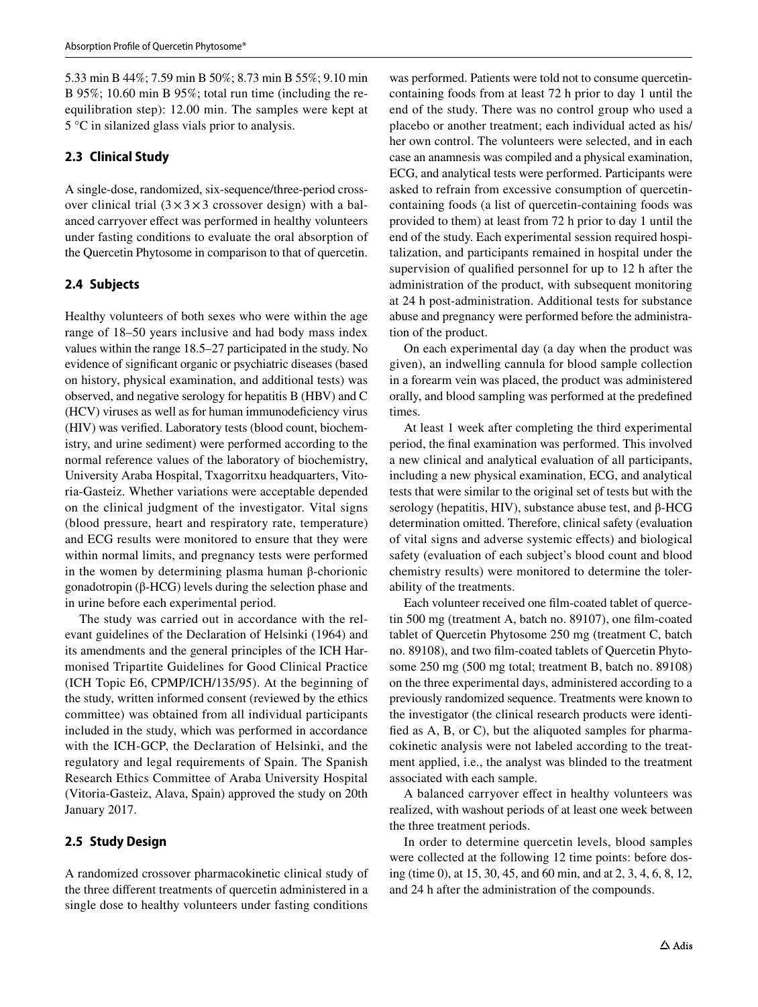5.33 min B 44%; 7.59 min B 50%; 8.73 min B 55%; 9.10 min B 95%; 10.60 min B 95%; total run time (including the reequilibration step): 12.00 min. The samples were kept at 5 °C in silanized glass vials prior to analysis.

#### **2.3 Clinical Study**

A single-dose, randomized, six-sequence/three-period crossover clinical trial  $(3 \times 3 \times 3$  crossover design) with a balanced carryover efect was performed in healthy volunteers under fasting conditions to evaluate the oral absorption of the Quercetin Phytosome in comparison to that of quercetin.

# **2.4 Subjects**

Healthy volunteers of both sexes who were within the age range of 18–50 years inclusive and had body mass index values within the range 18.5–27 participated in the study. No evidence of signifcant organic or psychiatric diseases (based on history, physical examination, and additional tests) was observed, and negative serology for hepatitis B (HBV) and C (HCV) viruses as well as for human immunodefciency virus (HIV) was verifed. Laboratory tests (blood count, biochemistry, and urine sediment) were performed according to the normal reference values of the laboratory of biochemistry, University Araba Hospital, Txagorritxu headquarters, Vitoria-Gasteiz. Whether variations were acceptable depended on the clinical judgment of the investigator. Vital signs (blood pressure, heart and respiratory rate, temperature) and ECG results were monitored to ensure that they were within normal limits, and pregnancy tests were performed in the women by determining plasma human β-chorionic gonadotropin (β-HCG) levels during the selection phase and in urine before each experimental period.

The study was carried out in accordance with the relevant guidelines of the Declaration of Helsinki (1964) and its amendments and the general principles of the ICH Harmonised Tripartite Guidelines for Good Clinical Practice (ICH Topic E6, CPMP/ICH/135/95). At the beginning of the study, written informed consent (reviewed by the ethics committee) was obtained from all individual participants included in the study, which was performed in accordance with the ICH-GCP, the Declaration of Helsinki, and the regulatory and legal requirements of Spain. The Spanish Research Ethics Committee of Araba University Hospital (Vitoria-Gasteiz, Alava, Spain) approved the study on 20th January 2017.

#### **2.5 Study Design**

A randomized crossover pharmacokinetic clinical study of the three diferent treatments of quercetin administered in a single dose to healthy volunteers under fasting conditions

was performed. Patients were told not to consume quercetincontaining foods from at least 72 h prior to day 1 until the end of the study. There was no control group who used a placebo or another treatment; each individual acted as his/ her own control. The volunteers were selected, and in each case an anamnesis was compiled and a physical examination, ECG, and analytical tests were performed. Participants were asked to refrain from excessive consumption of quercetincontaining foods (a list of quercetin-containing foods was provided to them) at least from 72 h prior to day 1 until the end of the study. Each experimental session required hospitalization, and participants remained in hospital under the supervision of qualifed personnel for up to 12 h after the administration of the product, with subsequent monitoring at 24 h post-administration. Additional tests for substance abuse and pregnancy were performed before the administration of the product.

On each experimental day (a day when the product was given), an indwelling cannula for blood sample collection in a forearm vein was placed, the product was administered orally, and blood sampling was performed at the predefned times.

At least 1 week after completing the third experimental period, the fnal examination was performed. This involved a new clinical and analytical evaluation of all participants, including a new physical examination, ECG, and analytical tests that were similar to the original set of tests but with the serology (hepatitis, HIV), substance abuse test, and β-HCG determination omitted. Therefore, clinical safety (evaluation of vital signs and adverse systemic efects) and biological safety (evaluation of each subject's blood count and blood chemistry results) were monitored to determine the tolerability of the treatments.

Each volunteer received one flm-coated tablet of quercetin 500 mg (treatment A, batch no. 89107), one flm-coated tablet of Quercetin Phytosome 250 mg (treatment C, batch no. 89108), and two flm-coated tablets of Quercetin Phytosome 250 mg (500 mg total; treatment B, batch no. 89108) on the three experimental days, administered according to a previously randomized sequence. Treatments were known to the investigator (the clinical research products were identifed as A, B, or C), but the aliquoted samples for pharmacokinetic analysis were not labeled according to the treatment applied, i.e., the analyst was blinded to the treatment associated with each sample.

A balanced carryover efect in healthy volunteers was realized, with washout periods of at least one week between the three treatment periods.

In order to determine quercetin levels, blood samples were collected at the following 12 time points: before dosing (time 0), at 15, 30, 45, and 60 min, and at 2, 3, 4, 6, 8, 12, and 24 h after the administration of the compounds.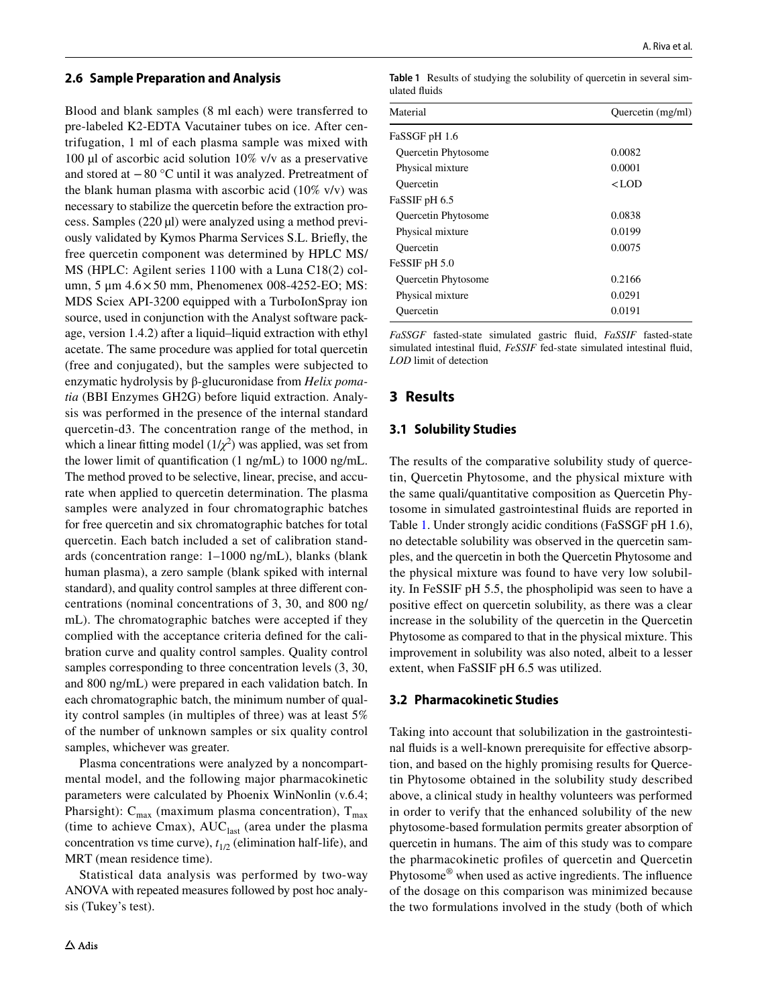#### **2.6 Sample Preparation and Analysis**

Blood and blank samples (8 ml each) were transferred to pre-labeled K2-EDTA Vacutainer tubes on ice. After centrifugation, 1 ml of each plasma sample was mixed with 100 µl of ascorbic acid solution 10% v/v as a preservative and stored at −80 °C until it was analyzed. Pretreatment of the blank human plasma with ascorbic acid (10% v/v) was necessary to stabilize the quercetin before the extraction process. Samples (220 µl) were analyzed using a method previously validated by Kymos Pharma Services S.L. Briefy, the free quercetin component was determined by HPLC MS/ MS (HPLC: Agilent series 1100 with a Luna C18(2) column, 5  $\mu$ m 4.6 $\times$ 50 mm, Phenomenex 008-4252-EO; MS: MDS Sciex API-3200 equipped with a TurboIonSpray ion source, used in conjunction with the Analyst software package, version 1.4.2) after a liquid–liquid extraction with ethyl acetate. The same procedure was applied for total quercetin (free and conjugated), but the samples were subjected to enzymatic hydrolysis by β-glucuronidase from *Helix pomatia* (BBI Enzymes GH2G) before liquid extraction. Analysis was performed in the presence of the internal standard quercetin-d3. The concentration range of the method, in which a linear fitting model  $(1/\chi^2)$  was applied, was set from the lower limit of quantifcation (1 ng/mL) to 1000 ng/mL. The method proved to be selective, linear, precise, and accurate when applied to quercetin determination. The plasma samples were analyzed in four chromatographic batches for free quercetin and six chromatographic batches for total quercetin. Each batch included a set of calibration standards (concentration range: 1–1000 ng/mL), blanks (blank human plasma), a zero sample (blank spiked with internal standard), and quality control samples at three diferent concentrations (nominal concentrations of 3, 30, and 800 ng/ mL). The chromatographic batches were accepted if they complied with the acceptance criteria defned for the calibration curve and quality control samples. Quality control samples corresponding to three concentration levels  $(3, 30, 10)$ and 800 ng/mL) were prepared in each validation batch. In each chromatographic batch, the minimum number of quality control samples (in multiples of three) was at least 5% of the number of unknown samples or six quality control samples, whichever was greater.

Plasma concentrations were analyzed by a noncompartmental model, and the following major pharmacokinetic parameters were calculated by Phoenix WinNonlin (v.6.4; Pharsight):  $C_{\text{max}}$  (maximum plasma concentration),  $T_{\text{max}}$ (time to achieve Cmax),  $AUC<sub>last</sub>$  (area under the plasma concentration vs time curve),  $t_{1/2}$  (elimination half-life), and MRT (mean residence time).

Statistical data analysis was performed by two-way ANOVA with repeated measures followed by post hoc analysis (Tukey's test).

<span id="page-3-0"></span>**Table 1** Results of studying the solubility of quercetin in several simulated fuids

| Material                   | Quercetin (mg/ml)   |
|----------------------------|---------------------|
| FaSSGF pH 1.6              |                     |
| <b>Ouercetin Phytosome</b> | 0.0082              |
| Physical mixture           | 0.0001              |
| Ouercetin                  | <lod< td=""></lod<> |
| FaSSIF pH 6.5              |                     |
| Quercetin Phytosome        | 0.0838              |
| Physical mixture           | 0.0199              |
| Ouercetin                  | 0.0075              |
| FeSSIF pH 5.0              |                     |
| <b>Ouercetin Phytosome</b> | 0.2166              |
| Physical mixture           | 0.0291              |
| Ouercetin                  | 0.0191              |

*FaSSGF* fasted-state simulated gastric fuid, *FaSSIF* fasted-state simulated intestinal fuid, *FeSSIF* fed-state simulated intestinal fuid, *LOD* limit of detection

#### **3 Results**

#### **3.1 Solubility Studies**

The results of the comparative solubility study of quercetin, Quercetin Phytosome, and the physical mixture with the same quali/quantitative composition as Quercetin Phytosome in simulated gastrointestinal fuids are reported in Table [1.](#page-3-0) Under strongly acidic conditions (FaSSGF pH 1.6), no detectable solubility was observed in the quercetin samples, and the quercetin in both the Quercetin Phytosome and the physical mixture was found to have very low solubility. In FeSSIF pH 5.5, the phospholipid was seen to have a positive efect on quercetin solubility, as there was a clear increase in the solubility of the quercetin in the Quercetin Phytosome as compared to that in the physical mixture. This improvement in solubility was also noted, albeit to a lesser extent, when FaSSIF pH 6.5 was utilized.

#### **3.2 Pharmacokinetic Studies**

Taking into account that solubilization in the gastrointestinal fuids is a well-known prerequisite for efective absorption, and based on the highly promising results for Quercetin Phytosome obtained in the solubility study described above, a clinical study in healthy volunteers was performed in order to verify that the enhanced solubility of the new phytosome-based formulation permits greater absorption of quercetin in humans. The aim of this study was to compare the pharmacokinetic profles of quercetin and Quercetin Phytosome® when used as active ingredients. The infuence of the dosage on this comparison was minimized because the two formulations involved in the study (both of which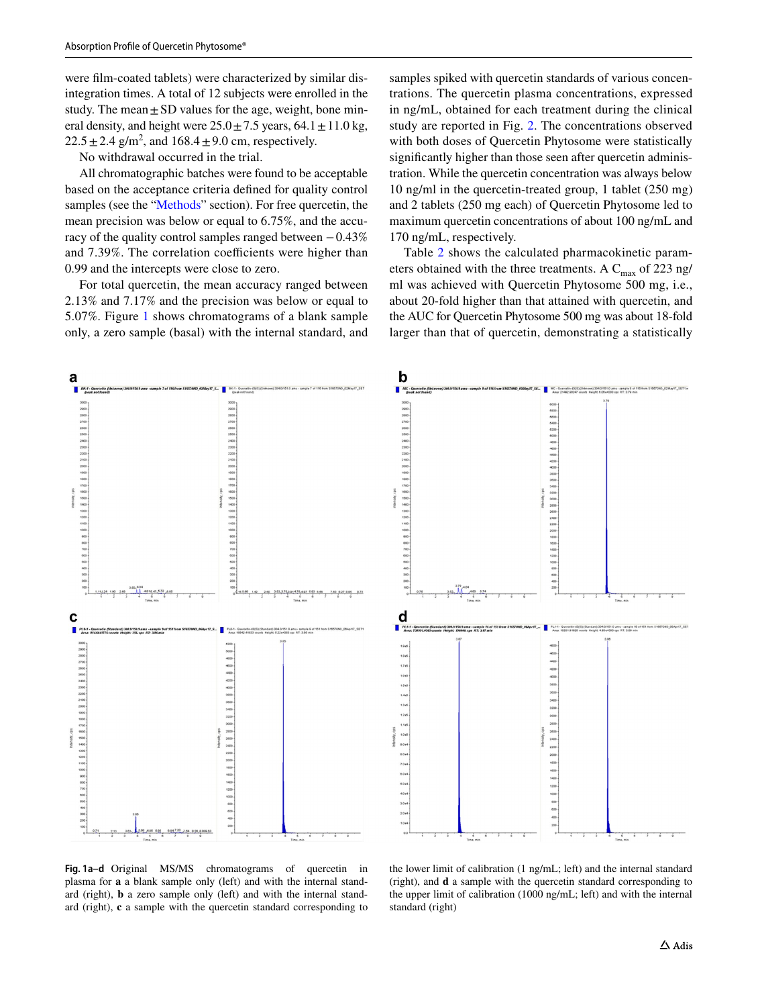were flm-coated tablets) were characterized by similar disintegration times. A total of 12 subjects were enrolled in the study. The mean  $\pm$  SD values for the age, weight, bone mineral density, and height were  $25.0 \pm 7.5$  years,  $64.1 \pm 11.0$  kg,  $22.5 \pm 2.4$  g/m<sup>2</sup>, and  $168.4 \pm 9.0$  cm, respectively.

No withdrawal occurred in the trial.

All chromatographic batches were found to be acceptable based on the acceptance criteria defned for quality control samples (see the "[Methods"](#page-1-0) section). For free quercetin, the mean precision was below or equal to 6.75%, and the accuracy of the quality control samples ranged between −0.43% and 7.39%. The correlation coefficients were higher than 0.99 and the intercepts were close to zero.

For total quercetin, the mean accuracy ranged between 2.13% and 7.17% and the precision was below or equal to 5.07%. Figure [1](#page-4-0) shows chromatograms of a blank sample only, a zero sample (basal) with the internal standard, and samples spiked with quercetin standards of various concentrations. The quercetin plasma concentrations, expressed in ng/mL, obtained for each treatment during the clinical study are reported in Fig. [2.](#page-5-0) The concentrations observed with both doses of Quercetin Phytosome were statistically significantly higher than those seen after quercetin administration. While the quercetin concentration was always below 10 ng/ml in the quercetin-treated group, 1 tablet (250 mg) and 2 tablets (250 mg each) of Quercetin Phytosome led to maximum quercetin concentrations of about 100 ng/mL and 170 ng/mL, respectively.

Table [2](#page-5-1) shows the calculated pharmacokinetic parameters obtained with the three treatments. A  $C_{\text{max}}$  of 223 ng/ ml was achieved with Quercetin Phytosome 500 mg, i.e., about 20-fold higher than that attained with quercetin, and the AUC for Quercetin Phytosome 500 mg was about 18-fold larger than that of quercetin, demonstrating a statistically



<span id="page-4-0"></span>**Fig. 1a–d** Original MS/MS chromatograms of quercetin in plasma for **a** a blank sample only (left) and with the internal standard (right), **b** a zero sample only (left) and with the internal standard (right), **c** a sample with the quercetin standard corresponding to

the lower limit of calibration (1 ng/mL; left) and the internal standard (right), and **d** a sample with the quercetin standard corresponding to the upper limit of calibration (1000 ng/mL; left) and with the internal standard (right)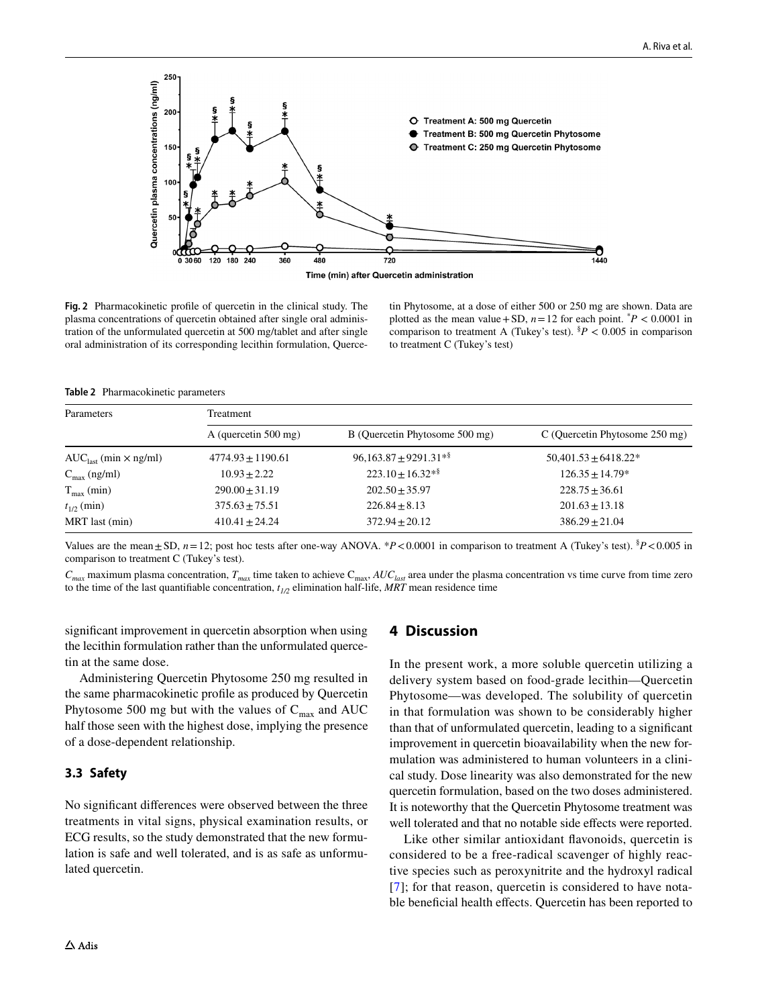

<span id="page-5-0"></span>**Fig. 2** Pharmacokinetic profle of quercetin in the clinical study. The plasma concentrations of quercetin obtained after single oral administration of the unformulated quercetin at 500 mg/tablet and after single oral administration of its corresponding lecithin formulation, Querce-

tin Phytosome, at a dose of either 500 or 250 mg are shown. Data are plotted as the mean value + SD,  $n = 12$  for each point.  $P < 0.0001$  in comparison to treatment A (Tukey's test).  ${}^{8}P$  < 0.005 in comparison to treatment C (Tukey's test)

<span id="page-5-1"></span>**Table 2** Pharmacokinetic parameters

| Parameters                        | Treatment             |                                |                                  |
|-----------------------------------|-----------------------|--------------------------------|----------------------------------|
|                                   | A (quercetin 500 mg)  | B (Quercetin Phytosome 500 mg) | $C$ (Quercetin Phytosome 250 mg) |
| $AUC_{last}$ (min $\times$ ng/ml) | $4774.93 \pm 1190.61$ | $96,163.87 \pm 9291.31**$      | $50,401.53 \pm 6418.22*$         |
| $C_{\text{max}}$ (ng/ml)          | $10.93 + 2.22$        | $223.10 + 16.32**$             | $126.35 \pm 14.79*$              |
| $T_{\text{max}}$ (min)            | $290.00 \pm 31.19$    | $202.50 \pm 35.97$             | $228.75 \pm 36.61$               |
| $t_{1/2}$ (min)                   | $375.63 \pm 75.51$    | $226.84 \pm 8.13$              | $201.63 \pm 13.18$               |
| MRT last (min)                    | $410.41 \pm 24.24$    | $372.94 \pm 20.12$             | $386.29 + 21.04$                 |

Values are the mean $\pm$ SD,  $n=12$ ; post hoc tests after one-way ANOVA. \**P* < 0.0001 in comparison to treatment A (Tukey's test). <sup>§</sup>*P* < 0.005 in comparison to treatment C (Tukey's test).

 $C_{max}$  maximum plasma concentration,  $T_{max}$  time taken to achieve  $C_{max}$ ,  $AUC_{last}$  area under the plasma concentration vs time curve from time zero to the time of the last quantifiable concentration,  $t_{1/2}$  elimination half-life,  $MRT$  mean residence time

signifcant improvement in quercetin absorption when using the lecithin formulation rather than the unformulated quercetin at the same dose.

Administering Quercetin Phytosome 250 mg resulted in the same pharmacokinetic profle as produced by Quercetin Phytosome 500 mg but with the values of  $C_{\text{max}}$  and AUC half those seen with the highest dose, implying the presence of a dose-dependent relationship.

#### **3.3 Safety**

No signifcant diferences were observed between the three treatments in vital signs, physical examination results, or ECG results, so the study demonstrated that the new formulation is safe and well tolerated, and is as safe as unformulated quercetin.

# **4 Discussion**

In the present work, a more soluble quercetin utilizing a delivery system based on food-grade lecithin—Quercetin Phytosome—was developed. The solubility of quercetin in that formulation was shown to be considerably higher than that of unformulated quercetin, leading to a signifcant improvement in quercetin bioavailability when the new formulation was administered to human volunteers in a clinical study. Dose linearity was also demonstrated for the new quercetin formulation, based on the two doses administered. It is noteworthy that the Quercetin Phytosome treatment was well tolerated and that no notable side effects were reported.

Like other similar antioxidant favonoids, quercetin is considered to be a free-radical scavenger of highly reactive species such as peroxynitrite and the hydroxyl radical [[7\]](#page-7-5); for that reason, quercetin is considered to have notable beneficial health effects. Quercetin has been reported to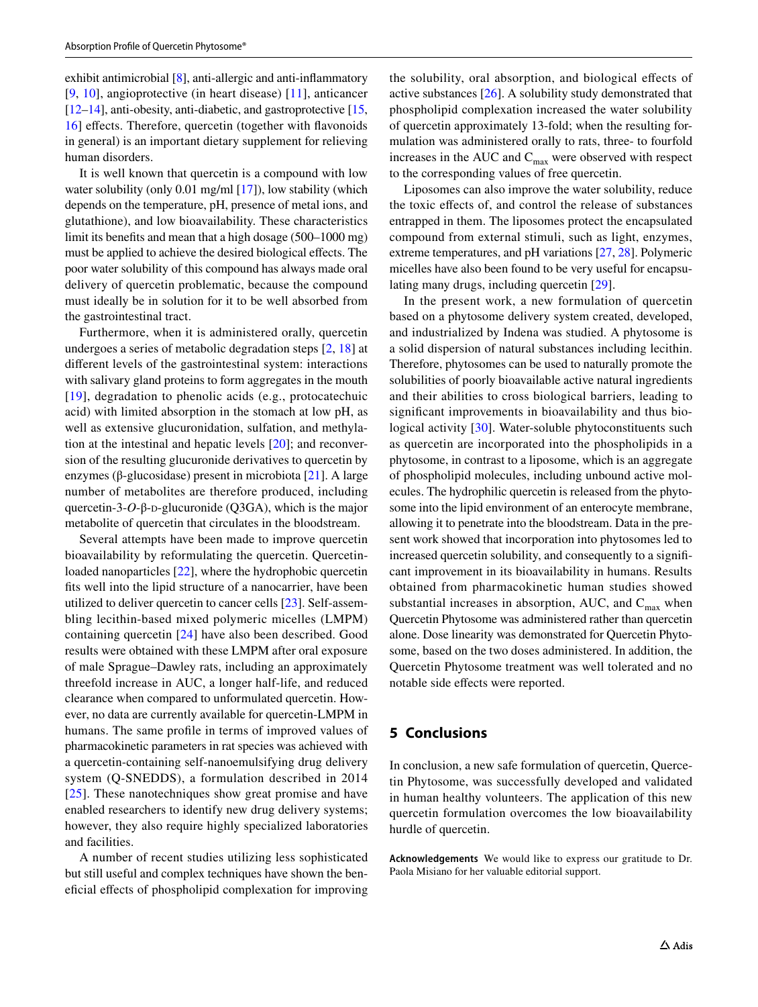exhibit antimicrobial [\[8](#page-7-6)], anti-allergic and anti-infammatory [\[9,](#page-7-7) [10](#page-7-8)], angioprotective (in heart disease) [[11](#page-7-9)], anticancer  $[12–14]$  $[12–14]$  $[12–14]$ , anti-obesity, anti-diabetic, and gastroprotective  $[15,$  $[15,$ [16](#page-7-13)] effects. Therefore, quercetin (together with flavonoids in general) is an important dietary supplement for relieving human disorders.

It is well known that quercetin is a compound with low water solubility (only 0.01 mg/ml [\[17](#page-7-14)]), low stability (which depends on the temperature, pH, presence of metal ions, and glutathione), and low bioavailability. These characteristics limit its benefts and mean that a high dosage (500–1000 mg) must be applied to achieve the desired biological efects. The poor water solubility of this compound has always made oral delivery of quercetin problematic, because the compound must ideally be in solution for it to be well absorbed from the gastrointestinal tract.

Furthermore, when it is administered orally, quercetin undergoes a series of metabolic degradation steps [\[2](#page-7-1), [18](#page-7-15)] at diferent levels of the gastrointestinal system: interactions with salivary gland proteins to form aggregates in the mouth [[19\]](#page-7-16), degradation to phenolic acids (e.g., protocatechuic acid) with limited absorption in the stomach at low pH, as well as extensive glucuronidation, sulfation, and methylation at the intestinal and hepatic levels [\[20\]](#page-7-17); and reconversion of the resulting glucuronide derivatives to quercetin by enzymes (β-glucosidase) present in microbiota [\[21](#page-7-18)]. A large number of metabolites are therefore produced, including quercetin-3- $O$ -β-D-glucuronide (Q3GA), which is the major metabolite of quercetin that circulates in the bloodstream.

Several attempts have been made to improve quercetin bioavailability by reformulating the quercetin. Quercetinloaded nanoparticles [[22\]](#page-7-19), where the hydrophobic quercetin fts well into the lipid structure of a nanocarrier, have been utilized to deliver quercetin to cancer cells [\[23](#page-7-20)]. Self-assembling lecithin-based mixed polymeric micelles (LMPM) containing quercetin [[24\]](#page-7-21) have also been described. Good results were obtained with these LMPM after oral exposure of male Sprague–Dawley rats, including an approximately threefold increase in AUC, a longer half-life, and reduced clearance when compared to unformulated quercetin. However, no data are currently available for quercetin-LMPM in humans. The same profle in terms of improved values of pharmacokinetic parameters in rat species was achieved with a quercetin-containing self-nanoemulsifying drug delivery system (Q-SNEDDS), a formulation described in 2014 [\[25\]](#page-7-22). These nanotechniques show great promise and have enabled researchers to identify new drug delivery systems; however, they also require highly specialized laboratories and facilities.

A number of recent studies utilizing less sophisticated but still useful and complex techniques have shown the benefcial efects of phospholipid complexation for improving the solubility, oral absorption, and biological efects of active substances [[26\]](#page-7-23). A solubility study demonstrated that phospholipid complexation increased the water solubility of quercetin approximately 13-fold; when the resulting formulation was administered orally to rats, three- to fourfold increases in the AUC and  $C_{\text{max}}$  were observed with respect to the corresponding values of free quercetin.

Liposomes can also improve the water solubility, reduce the toxic efects of, and control the release of substances entrapped in them. The liposomes protect the encapsulated compound from external stimuli, such as light, enzymes, extreme temperatures, and pH variations [\[27](#page-8-0), [28\]](#page-8-1). Polymeric micelles have also been found to be very useful for encapsulating many drugs, including quercetin [[29\]](#page-8-2).

In the present work, a new formulation of quercetin based on a phytosome delivery system created, developed, and industrialized by Indena was studied. A phytosome is a solid dispersion of natural substances including lecithin. Therefore, phytosomes can be used to naturally promote the solubilities of poorly bioavailable active natural ingredients and their abilities to cross biological barriers, leading to signifcant improvements in bioavailability and thus biological activity [\[30](#page-8-3)]. Water-soluble phytoconstituents such as quercetin are incorporated into the phospholipids in a phytosome, in contrast to a liposome, which is an aggregate of phospholipid molecules, including unbound active molecules. The hydrophilic quercetin is released from the phytosome into the lipid environment of an enterocyte membrane, allowing it to penetrate into the bloodstream. Data in the present work showed that incorporation into phytosomes led to increased quercetin solubility, and consequently to a signifcant improvement in its bioavailability in humans. Results obtained from pharmacokinetic human studies showed substantial increases in absorption, AUC, and  $C_{\text{max}}$  when Quercetin Phytosome was administered rather than quercetin alone. Dose linearity was demonstrated for Quercetin Phytosome, based on the two doses administered. In addition, the Quercetin Phytosome treatment was well tolerated and no notable side efects were reported.

# **5 Conclusions**

In conclusion, a new safe formulation of quercetin, Quercetin Phytosome, was successfully developed and validated in human healthy volunteers. The application of this new quercetin formulation overcomes the low bioavailability hurdle of quercetin.

**Acknowledgements** We would like to express our gratitude to Dr. Paola Misiano for her valuable editorial support.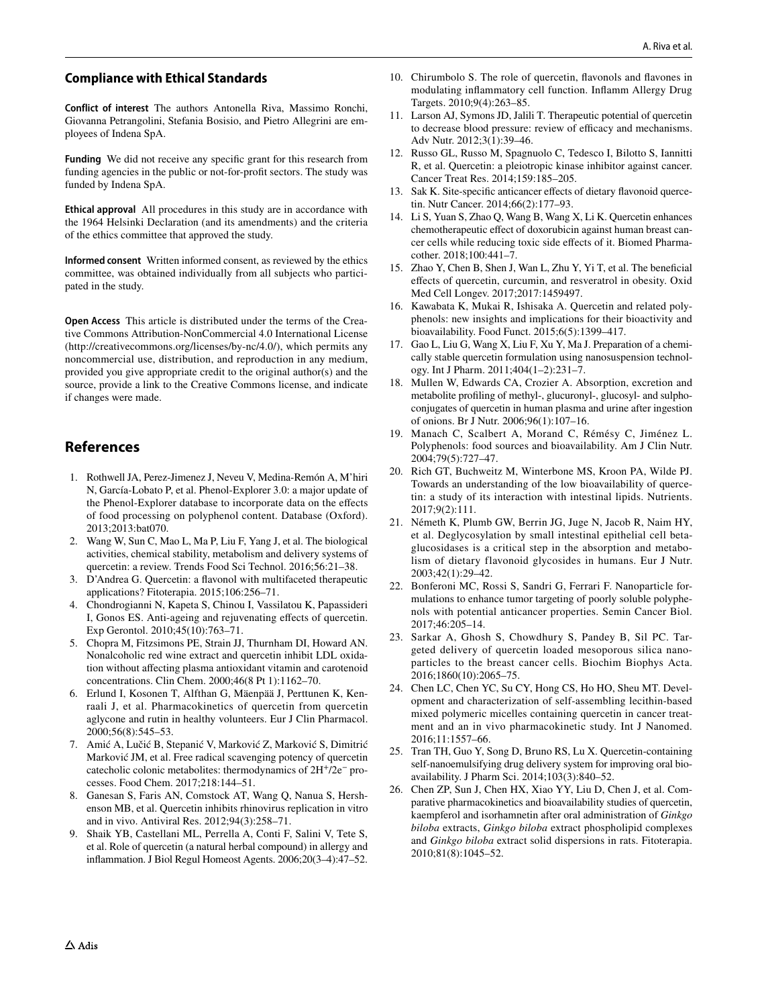#### **Compliance with Ethical Standards**

**Conflict of interest** The authors Antonella Riva, Massimo Ronchi, Giovanna Petrangolini, Stefania Bosisio, and Pietro Allegrini are employees of Indena SpA.

Funding We did not receive any specific grant for this research from funding agencies in the public or not-for-proft sectors. The study was funded by Indena SpA.

**Ethical approval** All procedures in this study are in accordance with the 1964 Helsinki Declaration (and its amendments) and the criteria of the ethics committee that approved the study.

**Informed consent** Written informed consent, as reviewed by the ethics committee, was obtained individually from all subjects who participated in the study.

**Open Access** This article is distributed under the terms of the Creative Commons Attribution-NonCommercial 4.0 International License (http://creativecommons.org/licenses/by-nc/4.0/), which permits any noncommercial use, distribution, and reproduction in any medium, provided you give appropriate credit to the original author(s) and the source, provide a link to the Creative Commons license, and indicate if changes were made.

## **References**

- <span id="page-7-0"></span>1. Rothwell JA, Perez-Jimenez J, Neveu V, Medina-Remón A, M'hiri N, García-Lobato P, et al. Phenol-Explorer 3.0: a major update of the Phenol-Explorer database to incorporate data on the efects of food processing on polyphenol content. Database (Oxford). 2013;2013:bat070.
- <span id="page-7-1"></span>2. Wang W, Sun C, Mao L, Ma P, Liu F, Yang J, et al. The biological activities, chemical stability, metabolism and delivery systems of quercetin: a review. Trends Food Sci Technol. 2016;56:21–38.
- <span id="page-7-2"></span>3. D'Andrea G. Quercetin: a favonol with multifaceted therapeutic applications? Fitoterapia. 2015;106:256–71.
- <span id="page-7-3"></span>4. Chondrogianni N, Kapeta S, Chinou I, Vassilatou K, Papassideri I, Gonos ES. Anti-ageing and rejuvenating efects of quercetin. Exp Gerontol. 2010;45(10):763–71.
- 5. Chopra M, Fitzsimons PE, Strain JJ, Thurnham DI, Howard AN. Nonalcoholic red wine extract and quercetin inhibit LDL oxidation without afecting plasma antioxidant vitamin and carotenoid concentrations. Clin Chem. 2000;46(8 Pt 1):1162–70.
- <span id="page-7-4"></span>6. Erlund I, Kosonen T, Alfthan G, Mäenpää J, Perttunen K, Kenraali J, et al. Pharmacokinetics of quercetin from quercetin aglycone and rutin in healthy volunteers. Eur J Clin Pharmacol. 2000;56(8):545–53.
- <span id="page-7-5"></span>7. Amić A, Lučić B, Stepanić V, Marković Z, Marković S, Dimitrić Marković JM, et al. Free radical scavenging potency of quercetin catecholic colonic metabolites: thermodynamics of 2H+/2e− processes. Food Chem. 2017;218:144–51.
- <span id="page-7-6"></span>8. Ganesan S, Faris AN, Comstock AT, Wang Q, Nanua S, Hershenson MB, et al. Quercetin inhibits rhinovirus replication in vitro and in vivo. Antiviral Res. 2012;94(3):258–71.
- <span id="page-7-7"></span>9. Shaik YB, Castellani ML, Perrella A, Conti F, Salini V, Tete S, et al. Role of quercetin (a natural herbal compound) in allergy and infammation. J Biol Regul Homeost Agents. 2006;20(3–4):47–52.
- <span id="page-7-8"></span>10. Chirumbolo S. The role of quercetin, favonols and favones in modulating infammatory cell function. Infamm Allergy Drug Targets. 2010;9(4):263–85.
- <span id="page-7-9"></span>11. Larson AJ, Symons JD, Jalili T. Therapeutic potential of quercetin to decrease blood pressure: review of efficacy and mechanisms. Adv Nutr. 2012;3(1):39–46.
- <span id="page-7-10"></span>12. Russo GL, Russo M, Spagnuolo C, Tedesco I, Bilotto S, Iannitti R, et al. Quercetin: a pleiotropic kinase inhibitor against cancer. Cancer Treat Res. 2014;159:185–205.
- 13. Sak K. Site-specifc anticancer efects of dietary favonoid quercetin. Nutr Cancer. 2014;66(2):177–93.
- <span id="page-7-11"></span>14. Li S, Yuan S, Zhao Q, Wang B, Wang X, Li K. Quercetin enhances chemotherapeutic efect of doxorubicin against human breast cancer cells while reducing toxic side efects of it. Biomed Pharmacother. 2018;100:441–7.
- <span id="page-7-12"></span>15. Zhao Y, Chen B, Shen J, Wan L, Zhu Y, Yi T, et al. The benefcial efects of quercetin, curcumin, and resveratrol in obesity. Oxid Med Cell Longev. 2017;2017:1459497.
- <span id="page-7-13"></span>16. Kawabata K, Mukai R, Ishisaka A. Quercetin and related polyphenols: new insights and implications for their bioactivity and bioavailability. Food Funct. 2015;6(5):1399–417.
- <span id="page-7-14"></span>17. Gao L, Liu G, Wang X, Liu F, Xu Y, Ma J. Preparation of a chemically stable quercetin formulation using nanosuspension technology. Int J Pharm. 2011;404(1–2):231–7.
- <span id="page-7-15"></span>18. Mullen W, Edwards CA, Crozier A. Absorption, excretion and metabolite profling of methyl-, glucuronyl-, glucosyl- and sulphoconjugates of quercetin in human plasma and urine after ingestion of onions. Br J Nutr. 2006;96(1):107–16.
- <span id="page-7-16"></span>19. Manach C, Scalbert A, Morand C, Rémésy C, Jiménez L. Polyphenols: food sources and bioavailability. Am J Clin Nutr. 2004;79(5):727–47.
- <span id="page-7-17"></span>20. Rich GT, Buchweitz M, Winterbone MS, Kroon PA, Wilde PJ. Towards an understanding of the low bioavailability of quercetin: a study of its interaction with intestinal lipids. Nutrients. 2017;9(2):111.
- <span id="page-7-18"></span>21. Németh K, Plumb GW, Berrin JG, Juge N, Jacob R, Naim HY, et al. Deglycosylation by small intestinal epithelial cell betaglucosidases is a critical step in the absorption and metabolism of dietary flavonoid glycosides in humans. Eur J Nutr. 2003;42(1):29–42.
- <span id="page-7-19"></span>22. Bonferoni MC, Rossi S, Sandri G, Ferrari F. Nanoparticle formulations to enhance tumor targeting of poorly soluble polyphenols with potential anticancer properties. Semin Cancer Biol. 2017;46:205–14.
- <span id="page-7-20"></span>23. Sarkar A, Ghosh S, Chowdhury S, Pandey B, Sil PC. Targeted delivery of quercetin loaded mesoporous silica nanoparticles to the breast cancer cells. Biochim Biophys Acta. 2016;1860(10):2065–75.
- <span id="page-7-21"></span>24. Chen LC, Chen YC, Su CY, Hong CS, Ho HO, Sheu MT. Development and characterization of self-assembling lecithin-based mixed polymeric micelles containing quercetin in cancer treatment and an in vivo pharmacokinetic study. Int J Nanomed. 2016;11:1557–66.
- <span id="page-7-22"></span>25. Tran TH, Guo Y, Song D, Bruno RS, Lu X. Quercetin-containing self-nanoemulsifying drug delivery system for improving oral bioavailability. J Pharm Sci. 2014;103(3):840–52.
- <span id="page-7-23"></span>26. Chen ZP, Sun J, Chen HX, Xiao YY, Liu D, Chen J, et al. Comparative pharmacokinetics and bioavailability studies of quercetin, kaempferol and isorhamnetin after oral administration of *Ginkgo biloba* extracts, *Ginkgo biloba* extract phospholipid complexes and *Ginkgo biloba* extract solid dispersions in rats. Fitoterapia. 2010;81(8):1045–52.